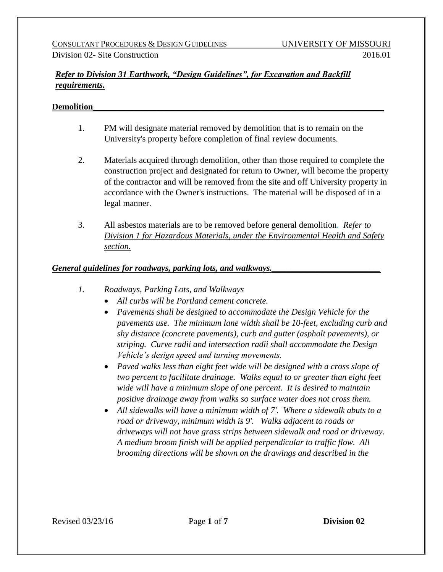# *Refer to Division 31 Earthwork, "Design Guidelines", for Excavation and Backfill requirements.*

## **Demolition\_\_\_\_\_\_\_\_\_\_\_\_\_\_\_\_\_\_\_\_\_\_\_\_\_\_\_\_\_\_\_\_\_\_\_\_\_\_\_\_\_\_\_\_\_\_\_\_\_\_\_\_\_\_\_\_\_\_\_\_\_\_\_\_\_\_\_**

- 1. PM will designate material removed by demolition that is to remain on the University's property before completion of final review documents.
- 2. Materials acquired through demolition, other than those required to complete the construction project and designated for return to Owner, will become the property of the contractor and will be removed from the site and off University property in accordance with the Owner's instructions. The material will be disposed of in a legal manner.
- 3. All asbestos materials are to be removed before general demolition*. Refer to Division 1 for Hazardous Materials, under the Environmental Health and Safety section.*

## *General guidelines for roadways, parking lots, and walkways.\_\_\_\_\_\_\_\_\_\_\_\_\_\_\_\_\_\_\_\_\_\_\_\_\_*

- *1. Roadways, Parking Lots, and Walkways*
	- *All curbs will be Portland cement concrete.*
	- *Pavements shall be designed to accommodate the Design Vehicle for the pavements use. The minimum lane width shall be 10-feet, excluding curb and shy distance (concrete pavements), curb and gutter (asphalt pavements), or striping. Curve radii and intersection radii shall accommodate the Design Vehicle's design speed and turning movements.*
	- *Paved walks less than eight feet wide will be designed with a cross slope of two percent to facilitate drainage. Walks equal to or greater than eight feet wide will have a minimum slope of one percent. It is desired to maintain positive drainage away from walks so surface water does not cross them.*
	- *All sidewalks will have a minimum width of 7'. Where a sidewalk abuts to a road or driveway, minimum width is 9'. Walks adjacent to roads or driveways will not have grass strips between sidewalk and road or driveway. A medium broom finish will be applied perpendicular to traffic flow. All brooming directions will be shown on the drawings and described in the*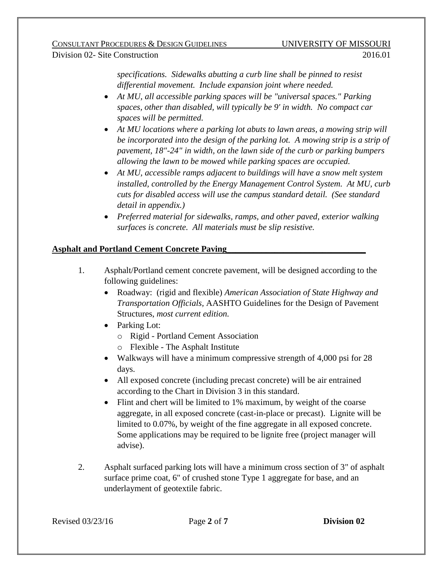*specifications. Sidewalks abutting a curb line shall be pinned to resist differential movement. Include expansion joint where needed.*

- *At MU, all accessible parking spaces will be "universal spaces." Parking spaces, other than disabled, will typically be 9' in width. No compact car spaces will be permitted.*
- *At MU locations where a parking lot abuts to lawn areas, a mowing strip will be incorporated into the design of the parking lot. A mowing strip is a strip of pavement, 18"-24" in width, on the lawn side of the curb or parking bumpers allowing the lawn to be mowed while parking spaces are occupied.*
- *At MU, accessible ramps adjacent to buildings will have a snow melt system installed, controlled by the Energy Management Control System. At MU, curb cuts for disabled access will use the campus standard detail. (See standard detail in appendix.)*
- *Preferred material for sidewalks, ramps, and other paved, exterior walking surfaces is concrete. All materials must be slip resistive.*

# **Asphalt and Portland Cement Concrete Paving\_\_\_\_\_\_\_\_\_\_\_\_\_\_\_\_\_\_\_\_\_\_\_\_\_\_\_\_\_\_\_\_**

- 1. Asphalt/Portland cement concrete pavement, will be designed according to the following guidelines:
	- Roadway: (rigid and flexible) *American Association of State Highway and Transportation Officials,* AASHTO Guidelines for the Design of Pavement Structures, *most current edition.*
	- Parking Lot:
		- o Rigid Portland Cement Association
		- o Flexible The Asphalt Institute
	- Walkways will have a minimum compressive strength of 4,000 psi for 28 days.
	- All exposed concrete (including precast concrete) will be air entrained according to the Chart in Division 3 in this standard.
	- Flint and chert will be limited to 1% maximum, by weight of the coarse aggregate, in all exposed concrete (cast-in-place or precast). Lignite will be limited to 0.07%, by weight of the fine aggregate in all exposed concrete. Some applications may be required to be lignite free (project manager will advise).
- 2. Asphalt surfaced parking lots will have a minimum cross section of 3" of asphalt surface prime coat, 6" of crushed stone Type 1 aggregate for base, and an underlayment of geotextile fabric.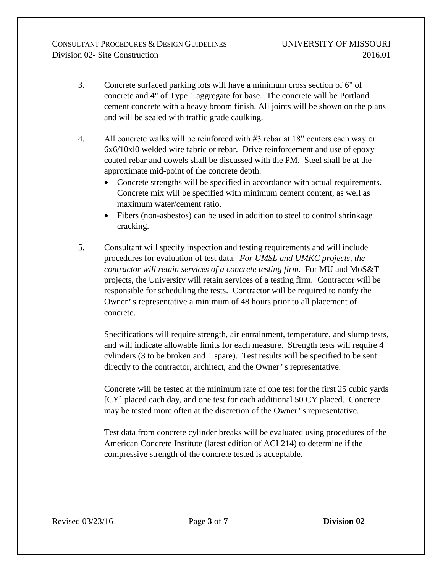- 3. Concrete surfaced parking lots will have a minimum cross section of 6" of concrete and 4" of Type 1 aggregate for base. The concrete will be Portland cement concrete with a heavy broom finish. All joints will be shown on the plans and will be sealed with traffic grade caulking.
- 4. All concrete walks will be reinforced with #3 rebar at 18" centers each way or 6x6/10xl0 welded wire fabric or rebar. Drive reinforcement and use of epoxy coated rebar and dowels shall be discussed with the PM. Steel shall be at the approximate mid-point of the concrete depth.
	- Concrete strengths will be specified in accordance with actual requirements. Concrete mix will be specified with minimum cement content, as well as maximum water/cement ratio.
	- Fibers (non-asbestos) can be used in addition to steel to control shrinkage cracking.
- 5. Consultant will specify inspection and testing requirements and will include procedures for evaluation of test data. *For UMSL and UMKC projects, the contractor will retain services of a concrete testing firm.* For MU and MoS&T projects, the University will retain services of a testing firm. Contractor will be responsible for scheduling the tests. Contractor will be required to notify the Owner's representative a minimum of 48 hours prior to all placement of concrete.

Specifications will require strength, air entrainment, temperature, and slump tests, and will indicate allowable limits for each measure. Strength tests will require 4 cylinders (3 to be broken and 1 spare). Test results will be specified to be sent directly to the contractor, architect, and the Owner's representative.

Concrete will be tested at the minimum rate of one test for the first 25 cubic yards [CY] placed each day, and one test for each additional 50 CY placed. Concrete may be tested more often at the discretion of the Owner's representative.

Test data from concrete cylinder breaks will be evaluated using procedures of the American Concrete Institute (latest edition of ACI 214) to determine if the compressive strength of the concrete tested is acceptable.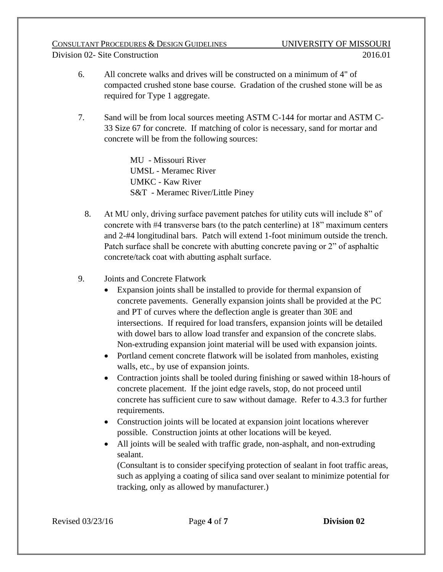- 6. All concrete walks and drives will be constructed on a minimum of 4" of compacted crushed stone base course. Gradation of the crushed stone will be as required for Type 1 aggregate.
- 7. Sand will be from local sources meeting ASTM C-144 for mortar and ASTM C-33 Size 67 for concrete. If matching of color is necessary, sand for mortar and concrete will be from the following sources:

MU - Missouri River UMSL - Meramec River UMKC - Kaw River S&T - Meramec River/Little Piney

- 8. At MU only, driving surface pavement patches for utility cuts will include 8" of concrete with #4 transverse bars (to the patch centerline) at 18" maximum centers and 2-#4 longitudinal bars. Patch will extend 1-foot minimum outside the trench. Patch surface shall be concrete with abutting concrete paving or 2" of asphaltic concrete/tack coat with abutting asphalt surface.
- 9. Joints and Concrete Flatwork
	- Expansion joints shall be installed to provide for thermal expansion of concrete pavements. Generally expansion joints shall be provided at the PC and PT of curves where the deflection angle is greater than 30E and intersections.If required for load transfers, expansion joints will be detailed with dowel bars to allow load transfer and expansion of the concrete slabs. Non-extruding expansion joint material will be used with expansion joints.
	- Portland cement concrete flatwork will be isolated from manholes, existing walls, etc., by use of expansion joints.
	- Contraction joints shall be tooled during finishing or sawed within 18-hours of concrete placement. If the joint edge ravels, stop, do not proceed until concrete has sufficient cure to saw without damage. Refer to 4.3.3 for further requirements.
	- Construction joints will be located at expansion joint locations wherever possible. Construction joints at other locations will be keyed.
	- All joints will be sealed with traffic grade, non-asphalt, and non-extruding sealant.

(Consultant is to consider specifying protection of sealant in foot traffic areas, such as applying a coating of silica sand over sealant to minimize potential for tracking, only as allowed by manufacturer.)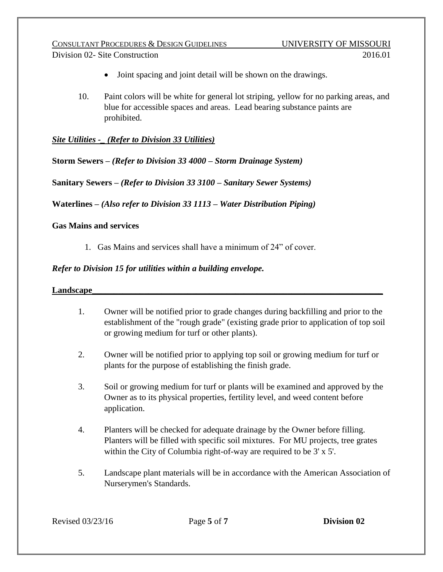CONSULTANT PROCEDURES & DESIGN GUIDELINES UNIVERSITY OF MISSOURI Division 02- Site Construction 2016.01

- Joint spacing and joint detail will be shown on the drawings.
- 10. Paint colors will be white for general lot striping, yellow for no parking areas, and blue for accessible spaces and areas. Lead bearing substance paints are prohibited.

*Site Utilities -\_ (Refer to Division 33 Utilities)*

**Storm Sewers** *– (Refer to Division 33 4000 – Storm Drainage System)*

**Sanitary Sewers –** *(Refer to Division 33 3100 – Sanitary Sewer Systems)*

**Waterlines –** *(Also refer to Division 33 1113 – Water Distribution Piping)*

#### **Gas Mains and services**

1. Gas Mains and services shall have a minimum of 24" of cover.

## *Refer to Division 15 for utilities within a building envelope.*

#### Landscape

- 1. Owner will be notified prior to grade changes during backfilling and prior to the establishment of the "rough grade" (existing grade prior to application of top soil or growing medium for turf or other plants).
- 2. Owner will be notified prior to applying top soil or growing medium for turf or plants for the purpose of establishing the finish grade.
- 3. Soil or growing medium for turf or plants will be examined and approved by the Owner as to its physical properties, fertility level, and weed content before application.
- 4. Planters will be checked for adequate drainage by the Owner before filling. Planters will be filled with specific soil mixtures. For MU projects, tree grates within the City of Columbia right-of-way are required to be 3' x 5'.
- 5. Landscape plant materials will be in accordance with the American Association of Nurserymen's Standards.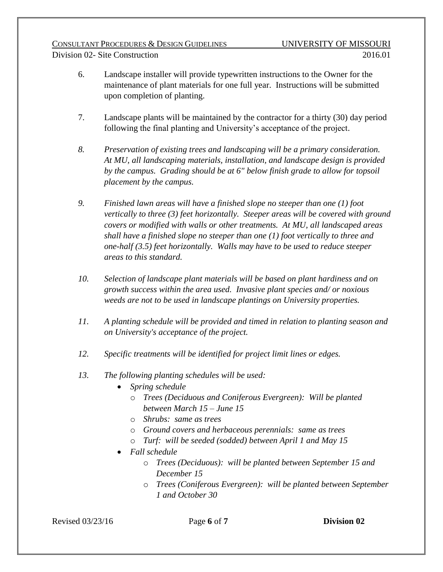- 6. Landscape installer will provide typewritten instructions to the Owner for the maintenance of plant materials for one full year. Instructions will be submitted upon completion of planting.
- 7. Landscape plants will be maintained by the contractor for a thirty (30) day period following the final planting and University's acceptance of the project.
- *8. Preservation of existing trees and landscaping will be a primary consideration. At MU, all landscaping materials, installation, and landscape design is provided by the campus. Grading should be at 6" below finish grade to allow for topsoil placement by the campus.*
- *9. Finished lawn areas will have a finished slope no steeper than one (1) foot vertically to three (3) feet horizontally. Steeper areas will be covered with ground covers or modified with walls or other treatments. At MU, all landscaped areas shall have a finished slope no steeper than one (1) foot vertically to three and one-half (3.5) feet horizontally. Walls may have to be used to reduce steeper areas to this standard.*
- *10. Selection of landscape plant materials will be based on plant hardiness and on growth success within the area used. Invasive plant species and/ or noxious weeds are not to be used in landscape plantings on University properties.*
- *11. A planting schedule will be provided and timed in relation to planting season and on University's acceptance of the project.*
- *12. Specific treatments will be identified for project limit lines or edges.*
- *13. The following planting schedules will be used:*
	- *Spring schedule*
		- o *Trees (Deciduous and Coniferous Evergreen): Will be planted between March 15 – June 15*
		- o *Shrubs: same as trees*
		- o *Ground covers and herbaceous perennials: same as trees*
		- o *Turf: will be seeded (sodded) between April 1 and May 15*
	- *Fall schedule*
		- o *Trees (Deciduous): will be planted between September 15 and December 15*
		- o *Trees (Coniferous Evergreen): will be planted between September 1 and October 30*